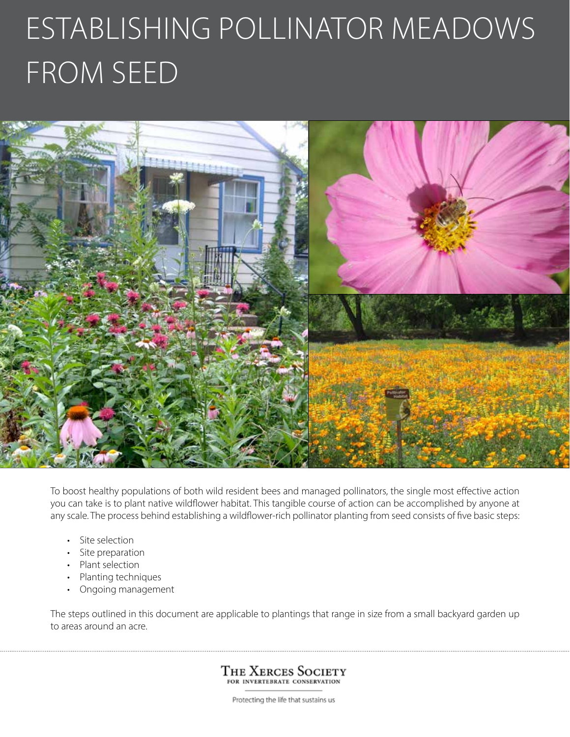# Establishing pollinator meadows from seed



To boost healthy populations of both wild resident bees and managed pollinators, the single most effective action you can take is to plant native wildflower habitat. This tangible course of action can be accomplished by anyone at any scale. The process behind establishing a wildflower-rich pollinator planting from seed consists of five basic steps:

- Site selection
- Site preparation
- Plant selection
- Planting techniques
- Ongoing management

The steps outlined in this document are applicable to plantings that range in size from a small backyard garden up to areas around an acre.

> The Xerces Society FOR INVERTEBRATE CONSERVATION

Protecting the life that sustains us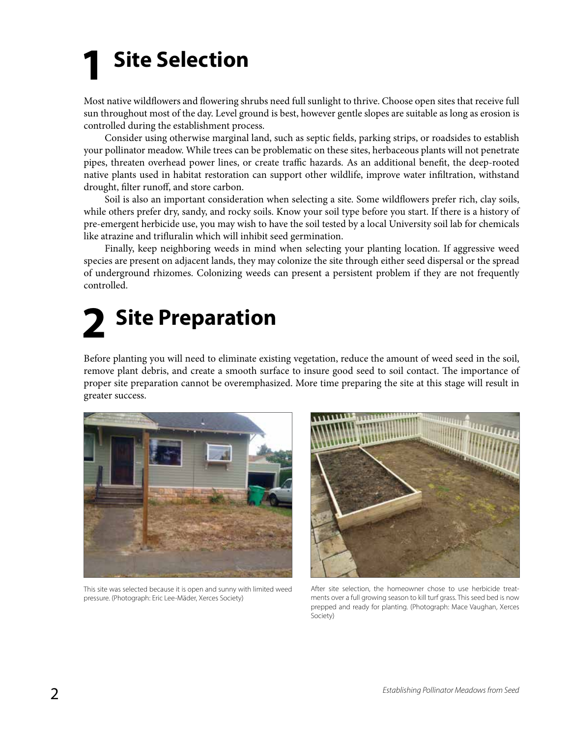## **Site Selection 1**

Most native wildflowers and flowering shrubs need full sunlight to thrive. Choose open sites that receive full sun throughout most of the day. Level ground is best, however gentle slopes are suitable as long as erosion is controlled during the establishment process.

Consider using otherwise marginal land, such as septic fields, parking strips, or roadsides to establish your pollinator meadow. While trees can be problematic on these sites, herbaceous plants will not penetrate pipes, threaten overhead power lines, or create traffic hazards. As an additional benefit, the deep-rooted native plants used in habitat restoration can support other wildlife, improve water infiltration, withstand drought, filter runoff, and store carbon.

Soil is also an important consideration when selecting a site. Some wildflowers prefer rich, clay soils, while others prefer dry, sandy, and rocky soils. Know your soil type before you start. If there is a history of pre-emergent herbicide use, you may wish to have the soil tested by a local University soil lab for chemicals like atrazine and trifluralin which will inhibit seed germination.

Finally, keep neighboring weeds in mind when selecting your planting location. If aggressive weed species are present on adjacent lands, they may colonize the site through either seed dispersal or the spread of underground rhizomes. Colonizing weeds can present a persistent problem if they are not frequently controlled.

## **3** Site Preparation

Before planting you will need to eliminate existing vegetation, reduce the amount of weed seed in the soil, remove plant debris, and create a smooth surface to insure good seed to soil contact. The importance of proper site preparation cannot be overemphasized. More time preparing the site at this stage will result in greater success.



This site was selected because it is open and sunny with limited weed pressure. (Photograph: Eric Lee-Mäder, Xerces Society)



After site selection, the homeowner chose to use herbicide treatments over a full growing season to kill turf grass. This seed bed is now prepped and ready for planting. (Photograph: Mace Vaughan, Xerces Society)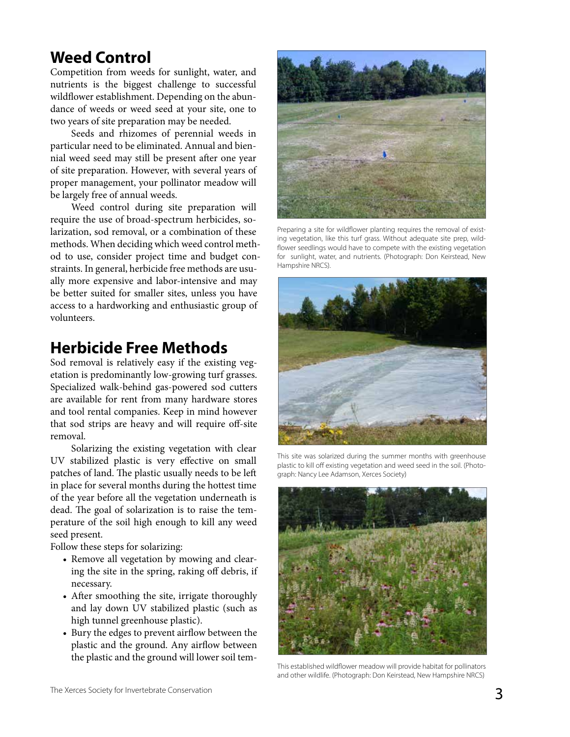## **Weed Control**

Competition from weeds for sunlight, water, and nutrients is the biggest challenge to successful wildflower establishment. Depending on the abundance of weeds or weed seed at your site, one to two years of site preparation may be needed.

Seeds and rhizomes of perennial weeds in particular need to be eliminated. Annual and biennial weed seed may still be present after one year of site preparation. However, with several years of proper management, your pollinator meadow will be largely free of annual weeds.

Weed control during site preparation will require the use of broad-spectrum herbicides, solarization, sod removal, or a combination of these methods. When deciding which weed control method to use, consider project time and budget constraints. In general, herbicide free methods are usually more expensive and labor-intensive and may be better suited for smaller sites, unless you have access to a hardworking and enthusiastic group of volunteers.

#### **Herbicide Free Methods**

Sod removal is relatively easy if the existing vegetation is predominantly low-growing turf grasses. Specialized walk-behind gas-powered sod cutters are available for rent from many hardware stores and tool rental companies. Keep in mind however that sod strips are heavy and will require off-site removal.

Solarizing the existing vegetation with clear UV stabilized plastic is very effective on small patches of land. The plastic usually needs to be left in place for several months during the hottest time of the year before all the vegetation underneath is dead. The goal of solarization is to raise the temperature of the soil high enough to kill any weed seed present.

Follow these steps for solarizing:

- Remove all vegetation by mowing and clearing the site in the spring, raking off debris, if necessary.
- After smoothing the site, irrigate thoroughly and lay down UV stabilized plastic (such as high tunnel greenhouse plastic).
- Bury the edges to prevent airflow between the plastic and the ground. Any airflow between the plastic and the ground will lower soil tem- This established wildflower meadow will provide habitat for pollinators



Preparing a site for wildflower planting requires the removal of existing vegetation, like this turf grass. Without adequate site prep, wildflower seedlings would have to compete with the existing vegetation for sunlight, water, and nutrients. (Photograph: Don Keirstead, New Hampshire NRCS).



This site was solarized during the summer months with greenhouse plastic to kill off existing vegetation and weed seed in the soil. (Photograph: Nancy Lee Adamson, Xerces Society)



and other wildlife. (Photograph: Don Keirstead, New Hampshire NRCS)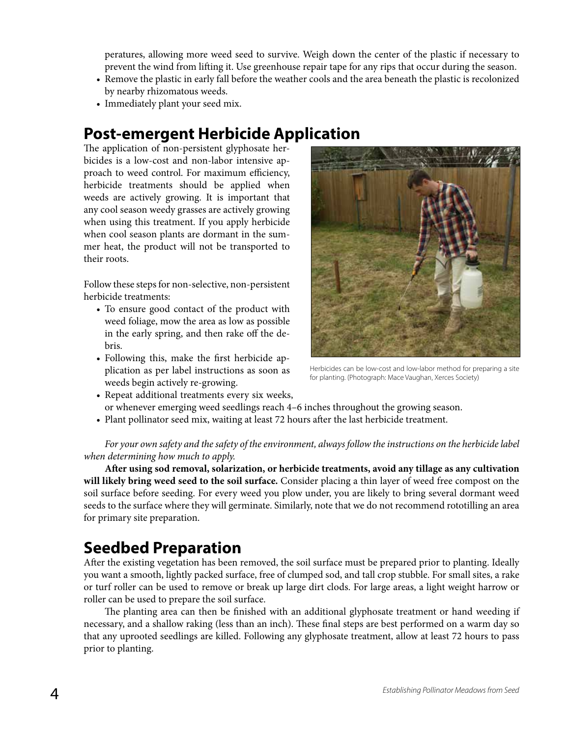peratures, allowing more weed seed to survive. Weigh down the center of the plastic if necessary to prevent the wind from lifting it. Use greenhouse repair tape for any rips that occur during the season.

- Remove the plastic in early fall before the weather cools and the area beneath the plastic is recolonized by nearby rhizomatous weeds.
- Immediately plant your seed mix.

## **Post-emergent Herbicide Application**

The application of non-persistent glyphosate herbicides is a low-cost and non-labor intensive approach to weed control. For maximum efficiency, herbicide treatments should be applied when weeds are actively growing. It is important that any cool season weedy grasses are actively growing when using this treatment. If you apply herbicide when cool season plants are dormant in the summer heat, the product will not be transported to their roots.

Follow these steps for non-selective, non-persistent herbicide treatments:

- To ensure good contact of the product with weed foliage, mow the area as low as possible in the early spring, and then rake off the debris.
- Following this, make the first herbicide application as per label instructions as soon as weeds begin actively re-growing.



Herbicides can be low-cost and low-labor method for preparing a site for planting. (Photograph: Mace Vaughan, Xerces Society)

- Repeat additional treatments every six weeks, or whenever emerging weed seedlings reach 4–6 inches throughout the growing season.
- Plant pollinator seed mix, waiting at least 72 hours after the last herbicide treatment.

*For your own safety and the safety of the environment, always follow the instructions on the herbicide label when determining how much to apply.*

**After using sod removal, solarization, or herbicide treatments, avoid any tillage as any cultivation will likely bring weed seed to the soil surface.** Consider placing a thin layer of weed free compost on the soil surface before seeding. For every weed you plow under, you are likely to bring several dormant weed seeds to the surface where they will germinate. Similarly, note that we do not recommend rototilling an area for primary site preparation.

## **Seedbed Preparation**

After the existing vegetation has been removed, the soil surface must be prepared prior to planting. Ideally you want a smooth, lightly packed surface, free of clumped sod, and tall crop stubble. For small sites, a rake or turf roller can be used to remove or break up large dirt clods. For large areas, a light weight harrow or roller can be used to prepare the soil surface.

The planting area can then be finished with an additional glyphosate treatment or hand weeding if necessary, and a shallow raking (less than an inch). These final steps are best performed on a warm day so that any uprooted seedlings are killed. Following any glyphosate treatment, allow at least 72 hours to pass prior to planting.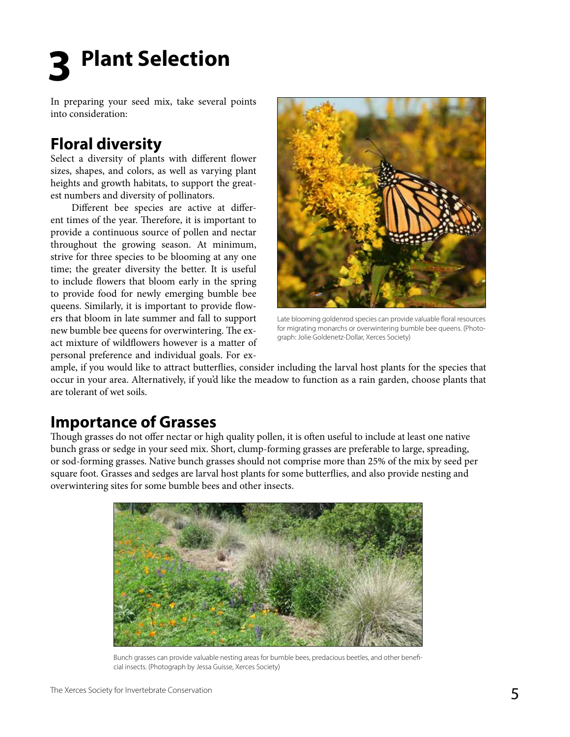**Plant Selection 3**

In preparing your seed mix, take several points into consideration:

## **Floral diversity**

Select a diversity of plants with different flower sizes, shapes, and colors, as well as varying plant heights and growth habitats, to support the greatest numbers and diversity of pollinators.

Different bee species are active at different times of the year. Therefore, it is important to provide a continuous source of pollen and nectar throughout the growing season. At minimum, strive for three species to be blooming at any one time; the greater diversity the better. It is useful to include flowers that bloom early in the spring to provide food for newly emerging bumble bee queens. Similarly, it is important to provide flowers that bloom in late summer and fall to support new bumble bee queens for overwintering. The exact mixture of wildflowers however is a matter of personal preference and individual goals. For ex-



Late blooming goldenrod species can provide valuable floral resources for migrating monarchs or overwintering bumble bee queens. (Photograph: Jolie Goldenetz-Dollar, Xerces Society)

ample, if you would like to attract butterflies, consider including the larval host plants for the species that occur in your area. Alternatively, if you'd like the meadow to function as a rain garden, choose plants that are tolerant of wet soils.

#### **Importance of Grasses**

Though grasses do not offer nectar or high quality pollen, it is often useful to include at least one native bunch grass or sedge in your seed mix. Short, clump-forming grasses are preferable to large, spreading, or sod-forming grasses. Native bunch grasses should not comprise more than 25% of the mix by seed per square foot. Grasses and sedges are larval host plants for some butterflies, and also provide nesting and overwintering sites for some bumble bees and other insects.



Bunch grasses can provide valuable nesting areas for bumble bees, predacious beetles, and other beneficial insects. (Photograph by Jessa Guisse, Xerces Society)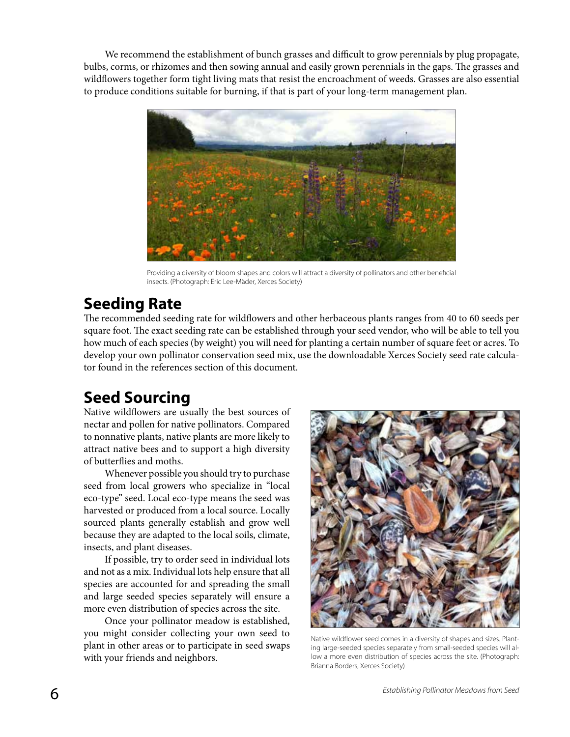We recommend the establishment of bunch grasses and difficult to grow perennials by plug propagate, bulbs, corms, or rhizomes and then sowing annual and easily grown perennials in the gaps. The grasses and wildflowers together form tight living mats that resist the encroachment of weeds. Grasses are also essential to produce conditions suitable for burning, if that is part of your long-term management plan.



Providing a diversity of bloom shapes and colors will attract a diversity of pollinators and other beneficial insects. (Photograph: Eric Lee-Mäder, Xerces Society)

## **Seeding Rate**

The recommended seeding rate for wildflowers and other herbaceous plants ranges from 40 to 60 seeds per square foot. The exact seeding rate can be established through your seed vendor, who will be able to tell you how much of each species (by weight) you will need for planting a certain number of square feet or acres. To develop your own pollinator conservation seed mix, use the downloadable Xerces Society seed rate calculator found in the references section of this document.

## **Seed Sourcing**

Native wildflowers are usually the best sources of nectar and pollen for native pollinators. Compared to nonnative plants, native plants are more likely to attract native bees and to support a high diversity of butterflies and moths.

Whenever possible you should try to purchase seed from local growers who specialize in "local eco-type" seed. Local eco-type means the seed was harvested or produced from a local source. Locally sourced plants generally establish and grow well because they are adapted to the local soils, climate, insects, and plant diseases.

If possible, try to order seed in individual lots and not as a mix. Individual lots help ensure that all species are accounted for and spreading the small and large seeded species separately will ensure a more even distribution of species across the site.

Once your pollinator meadow is established, you might consider collecting your own seed to plant in other areas or to participate in seed swaps with your friends and neighbors.



Native wildflower seed comes in a diversity of shapes and sizes. Planting large-seeded species separately from small-seeded species will allow a more even distribution of species across the site. (Photograph: Brianna Borders, Xerces Society)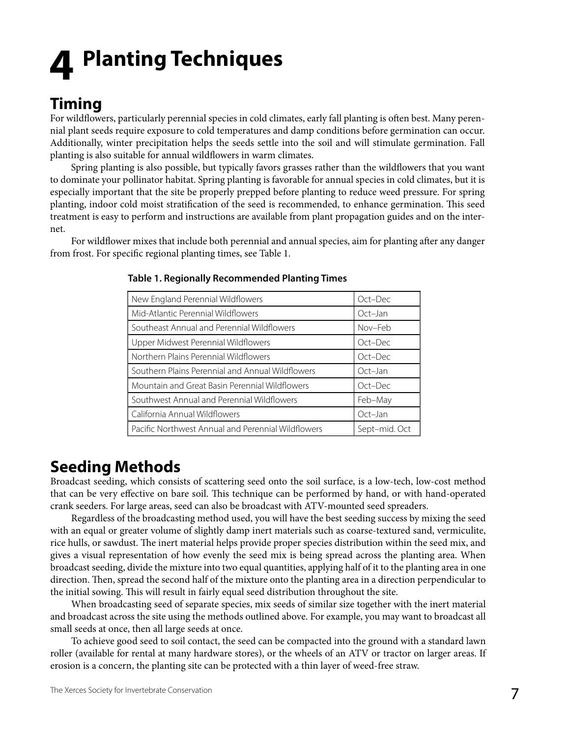## **Planting Techniques 4**

## **Timing**

For wildflowers, particularly perennial species in cold climates, early fall planting is often best. Many perennial plant seeds require exposure to cold temperatures and damp conditions before germination can occur. Additionally, winter precipitation helps the seeds settle into the soil and will stimulate germination. Fall planting is also suitable for annual wildflowers in warm climates.

Spring planting is also possible, but typically favors grasses rather than the wildflowers that you want to dominate your pollinator habitat. Spring planting is favorable for annual species in cold climates, but it is especially important that the site be properly prepped before planting to reduce weed pressure. For spring planting, indoor cold moist stratification of the seed is recommended, to enhance germination. This seed treatment is easy to perform and instructions are available from plant propagation guides and on the internet.

For wildflower mixes that include both perennial and annual species, aim for planting after any danger from frost. For specific regional planting times, see Table 1.

| New England Perennial Wildflowers                  | Oct-Dec       |
|----------------------------------------------------|---------------|
| Mid-Atlantic Perennial Wildflowers                 | Oct-Jan       |
| Southeast Annual and Perennial Wildflowers         | Nov-Feb       |
| Upper Midwest Perennial Wildflowers                | Oct-Dec       |
| Northern Plains Perennial Wildflowers              | Oct-Dec       |
| Southern Plains Perennial and Annual Wildflowers   | Oct-Jan       |
| Mountain and Great Basin Perennial Wildflowers     | Oct-Dec       |
| Southwest Annual and Perennial Wildflowers         | Feb-May       |
| California Annual Wildflowers                      | Oct-Jan       |
| Pacific Northwest Annual and Perennial Wildflowers | Sept-mid. Oct |

#### **Table 1. Regionally Recommended Planting Times**

#### **Seeding Methods**

Broadcast seeding, which consists of scattering seed onto the soil surface, is a low-tech, low-cost method that can be very effective on bare soil. This technique can be performed by hand, or with hand-operated crank seeders. For large areas, seed can also be broadcast with ATV-mounted seed spreaders.

Regardless of the broadcasting method used, you will have the best seeding success by mixing the seed with an equal or greater volume of slightly damp inert materials such as coarse-textured sand, vermiculite, rice hulls, or sawdust. The inert material helps provide proper species distribution within the seed mix, and gives a visual representation of how evenly the seed mix is being spread across the planting area. When broadcast seeding, divide the mixture into two equal quantities, applying half of it to the planting area in one direction. Then, spread the second half of the mixture onto the planting area in a direction perpendicular to the initial sowing. This will result in fairly equal seed distribution throughout the site.

When broadcasting seed of separate species, mix seeds of similar size together with the inert material and broadcast across the site using the methods outlined above. For example, you may want to broadcast all small seeds at once, then all large seeds at once.

To achieve good seed to soil contact, the seed can be compacted into the ground with a standard lawn roller (available for rental at many hardware stores), or the wheels of an ATV or tractor on larger areas. If erosion is a concern, the planting site can be protected with a thin layer of weed-free straw.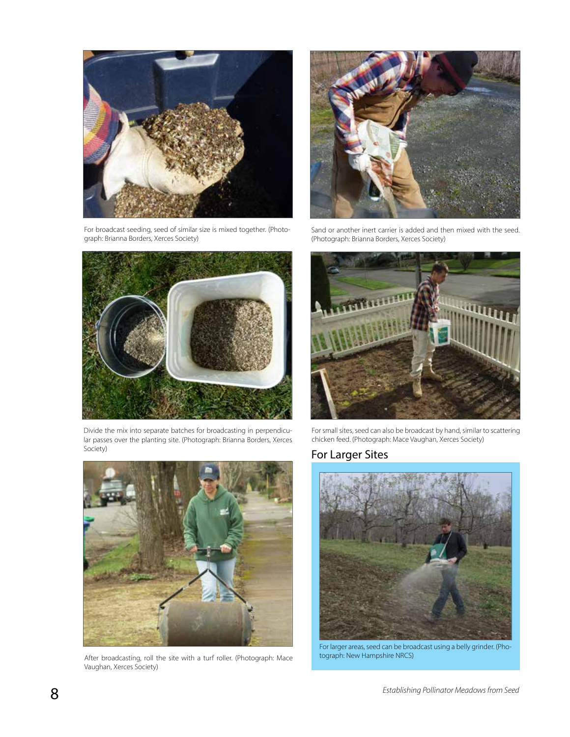

graph: Brianna Borders, Xerces Society)



Divide the mix into separate batches for broadcasting in perpendicular passes over the planting site. (Photograph: Brianna Borders, Xerces Society)



After broadcasting, roll the site with a turf roller. (Photograph: Mace Vaughan, Xerces Society)



Sand or another inert carrier is added and then mixed with the seed. (Photograph: Brianna Borders, Xerces Society)



For small sites, seed can also be broadcast by hand, similar to scattering chicken feed. (Photograph: Mace Vaughan, Xerces Society)

#### For Larger Sites



For larger areas, seed can be broadcast using a belly grinder. (Photograph: New Hampshire NRCS)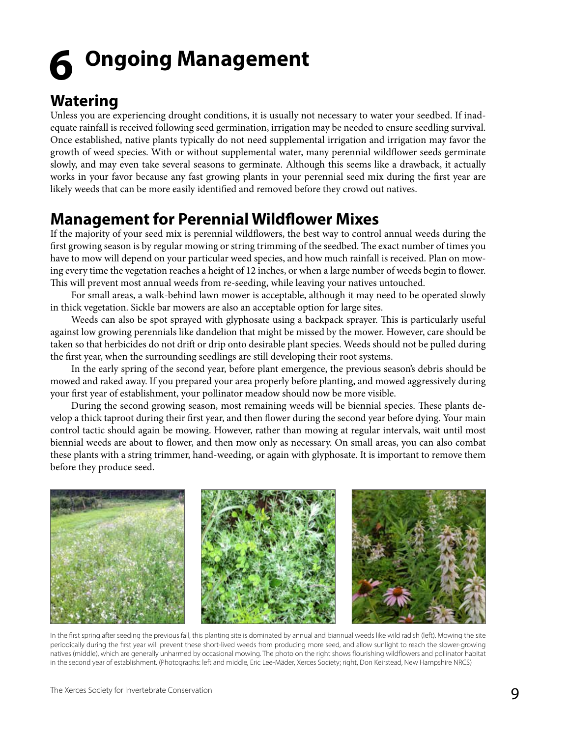## **Ongoing Management 6**

### **Watering**

Unless you are experiencing drought conditions, it is usually not necessary to water your seedbed. If inadequate rainfall is received following seed germination, irrigation may be needed to ensure seedling survival. Once established, native plants typically do not need supplemental irrigation and irrigation may favor the growth of weed species. With or without supplemental water, many perennial wildflower seeds germinate slowly, and may even take several seasons to germinate. Although this seems like a drawback, it actually works in your favor because any fast growing plants in your perennial seed mix during the first year are likely weeds that can be more easily identified and removed before they crowd out natives.

### **Management for Perennial Wildflower Mixes**

If the majority of your seed mix is perennial wildflowers, the best way to control annual weeds during the first growing season is by regular mowing or string trimming of the seedbed. The exact number of times you have to mow will depend on your particular weed species, and how much rainfall is received. Plan on mowing every time the vegetation reaches a height of 12 inches, or when a large number of weeds begin to flower. This will prevent most annual weeds from re-seeding, while leaving your natives untouched.

For small areas, a walk-behind lawn mower is acceptable, although it may need to be operated slowly in thick vegetation. Sickle bar mowers are also an acceptable option for large sites.

Weeds can also be spot sprayed with glyphosate using a backpack sprayer. This is particularly useful against low growing perennials like dandelion that might be missed by the mower. However, care should be taken so that herbicides do not drift or drip onto desirable plant species. Weeds should not be pulled during the first year, when the surrounding seedlings are still developing their root systems.

In the early spring of the second year, before plant emergence, the previous season's debris should be mowed and raked away. If you prepared your area properly before planting, and mowed aggressively during your first year of establishment, your pollinator meadow should now be more visible.

During the second growing season, most remaining weeds will be biennial species. These plants develop a thick taproot during their first year, and then flower during the second year before dying. Your main control tactic should again be mowing. However, rather than mowing at regular intervals, wait until most biennial weeds are about to flower, and then mow only as necessary. On small areas, you can also combat these plants with a string trimmer, hand-weeding, or again with glyphosate. It is important to remove them before they produce seed.



In the first spring after seeding the previous fall, this planting site is dominated by annual and biannual weeds like wild radish (left). Mowing the site periodically during the first year will prevent these short-lived weeds from producing more seed, and allow sunlight to reach the slower-growing natives (middle), which are generally unharmed by occasional mowing. The photo on the right shows flourishing wildflowers and pollinator habitat in the second year of establishment. (Photographs: left and middle, Eric Lee-Mäder, Xerces Society; right, Don Keirstead, New Hampshire NRCS)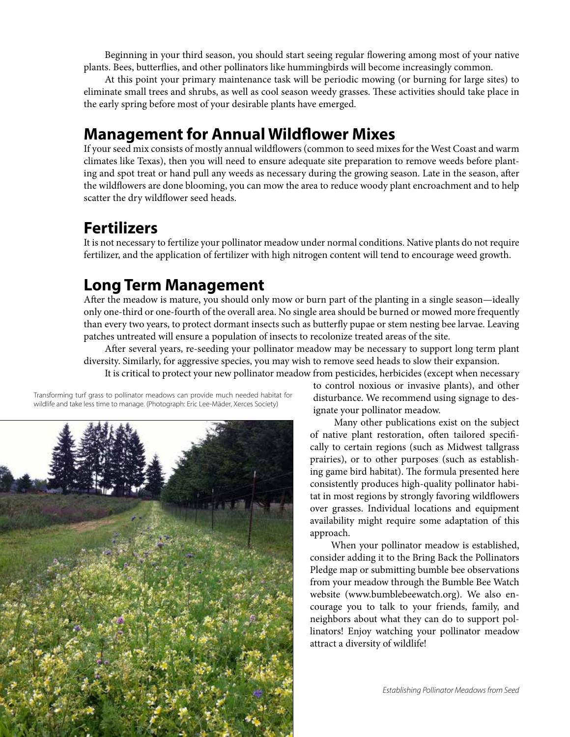Beginning in your third season, you should start seeing regular flowering among most of your native plants. Bees, butterflies, and other pollinators like hummingbirds will become increasingly common.

At this point your primary maintenance task will be periodic mowing (or burning for large sites) to eliminate small trees and shrubs, as well as cool season weedy grasses. These activities should take place in the early spring before most of your desirable plants have emerged.

#### **Management for Annual Wildflower Mixes**

If your seed mix consists of mostly annual wildflowers (common to seed mixes for the West Coast and warm climates like Texas), then you will need to ensure adequate site preparation to remove weeds before planting and spot treat or hand pull any weeds as necessary during the growing season. Late in the season, after the wildflowers are done blooming, you can mow the area to reduce woody plant encroachment and to help scatter the dry wildflower seed heads.

## **Fertilizers**

It is not necessary to fertilize your pollinator meadow under normal conditions. Native plants do not require fertilizer, and the application of fertilizer with high nitrogen content will tend to encourage weed growth.

## **Long Term Management**

After the meadow is mature, you should only mow or burn part of the planting in a single season—ideally only one-third or one-fourth of the overall area. No single area should be burned or mowed more frequently than every two years, to protect dormant insects such as butterfly pupae or stem nesting bee larvae. Leaving patches untreated will ensure a population of insects to recolonize treated areas of the site.

After several years, re-seeding your pollinator meadow may be necessary to support long term plant diversity. Similarly, for aggressive species, you may wish to remove seed heads to slow their expansion. It is critical to protect your new pollinator meadow from pesticides, herbicides (except when necessary

Transforming turf grass to pollinator meadows can provide much needed habitat for wildlife and take less time to manage. (Photograph: Eric Lee-Mäder, Xerces Society)



to control noxious or invasive plants), and other disturbance. We recommend using signage to designate your pollinator meadow.

Many other publications exist on the subject of native plant restoration, often tailored specifically to certain regions (such as Midwest tallgrass prairies), or to other purposes (such as establishing game bird habitat). The formula presented here consistently produces high-quality pollinator habitat in most regions by strongly favoring wildflowers over grasses. Individual locations and equipment availability might require some adaptation of this approach.

When your pollinator meadow is established, consider adding it to the Bring Back the Pollinators Pledge map or submitting bumble bee observations from your meadow through the Bumble Bee Watch website (www.bumblebeewatch.org). We also encourage you to talk to your friends, family, and neighbors about what they can do to support pollinators! Enjoy watching your pollinator meadow attract a diversity of wildlife!

10 *Establishing Pollinator Meadows from Seed*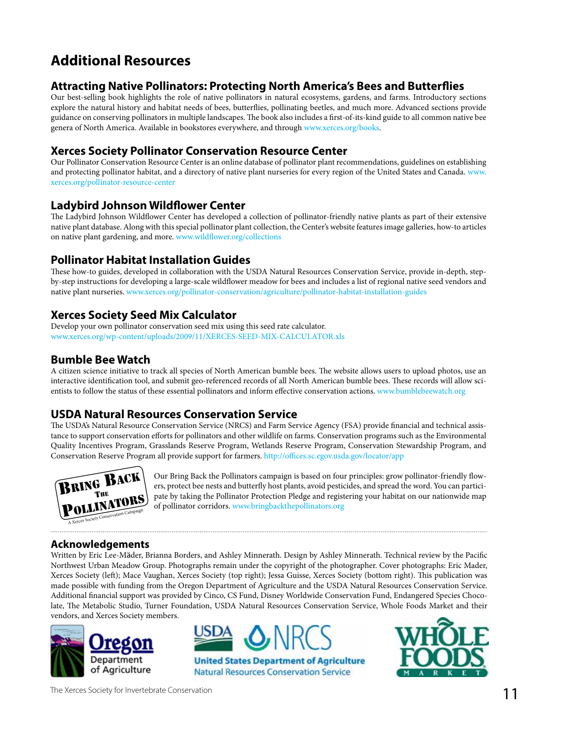## **Additional Resources**

#### **Attracting Native Pollinators: Protecting North America's Bees and Butterflies**

Our best-selling book highlights the role of native pollinators in natural ecosystems, gardens, and farms. Introductory sections explore the natural history and habitat needs of bees, butterflies, pollinating beetles, and much more. Advanced sections provide guidance on conserving pollinators in multiple landscapes. The book also includes a first-of-its-kind guide to all common native bee genera of North America. Available in bookstores everywhere, and through www.xerces.org/books.

#### **Xerces Society Pollinator Conservation Resource Center**

Our Pollinator Conservation Resource Center is an online database of pollinator plant recommendations, guidelines on establishing and protecting pollinator habitat, and a directory of native plant nurseries for every region of the United States and Canada. www. xerces.org/pollinator-resource-center

#### **Ladybird Johnson Wildflower Center**

The Ladybird Johnson Wildflower Center has developed a collection of pollinator-friendly native plants as part of their extensive native plant database. Along with this special pollinator plant collection, the Center's website features image galleries, how-to articles on native plant gardening, and more. www.wildflower.org/collections

#### **Pollinator Habitat Installation Guides**

These how-to guides, developed in collaboration with the USDA Natural Resources Conservation Service, provide in-depth, stepby-step instructions for developing a large-scale wildflower meadow for bees and includes a list of regional native seed vendors and native plant nurseries. www.xerces.org/pollinator-conservation/agriculture/pollinator-habitat-installation-guides

#### **Xerces Society Seed Mix Calculator**

Develop your own pollinator conservation seed mix using this seed rate calculator. www.xerces.org/wp-content/uploads/2009/11/XERCES-SEED-MIX-CALCULATOR.xls

#### **Bumble Bee Watch**

A citizen science initiative to track all species of North American bumble bees. The website allows users to upload photos, use an interactive identification tool, and submit geo-referenced records of all North American bumble bees. These records will allow scientists to follow the status of these essential pollinators and inform effective conservation actions. www.bumblebeewatch.org

#### **USDA Natural Resources Conservation Service**

The USDA's Natural Resource Conservation Service (NRCS) and Farm Service Agency (FSA) provide financial and technical assistance to support conservation efforts for pollinators and other wildlife on farms. Conservation programs such as the Environmental Quality Incentives Program, Grasslands Reserve Program, Wetlands Reserve Program, Conservation Stewardship Program, and Conservation Reserve Program all provide support for farmers. http://offices.sc.egov.usda.gov/locator/app



Our Bring Back the Pollinators campaign is based on four principles: grow pollinator-friendly flowers, protect bee nests and butterfly host plants, avoid pesticides, and spread the word. You can participate by taking the Pollinator Protection Pledge and registering your habitat on our nationwide map of pollinator corridors. www.bringbackthepollinators.org

#### **Acknowledgements**

Written by Eric Lee-Mäder, Brianna Borders, and Ashley Minnerath. Design by Ashley Minnerath. Technical review by the Pacific Northwest Urban Meadow Group. Photographs remain under the copyright of the photographer. Cover photographs: Eric Mader, Xerces Society (left); Mace Vaughan, Xerces Society (top right); Jessa Guisse, Xerces Society (bottom right). This publication was made possible with funding from the Oregon Department of Agriculture and the USDA Natural Resources Conservation Service. Additional financial support was provided by Cinco, CS Fund, Disney Worldwide Conservation Fund, Endangered Species Chocolate, The Metabolic Studio, Turner Foundation, USDA Natural Resources Conservation Service, Whole Foods Market and their vendors, and Xerces Society members.





**Natural Resources Conservation Service** 



The Xerces Society for Invertebrate Conservation **11** The Xerces Society for Invertebrate Conservation